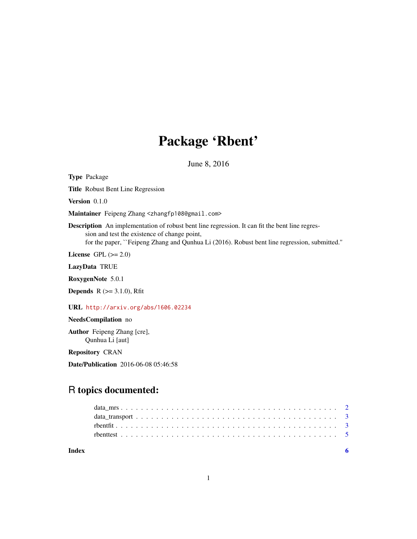## Package 'Rbent'

June 8, 2016

Type Package Title Robust Bent Line Regression Version 0.1.0 Maintainer Feipeng Zhang <zhangfp108@gmail.com> Description An implementation of robust bent line regression. It can fit the bent line regression and test the existence of change point, for the paper, ``Feipeng Zhang and Qunhua Li (2016). Robust bent line regression, submitted.'' License GPL  $(>= 2.0)$ LazyData TRUE RoxygenNote 5.0.1

**Depends** R  $(>= 3.1.0)$ , Rfit

URL <http://arxiv.org/abs/1606.02234>

NeedsCompilation no

Author Feipeng Zhang [cre], Qunhua Li [aut]

Repository CRAN

Date/Publication 2016-06-08 05:46:58

### R topics documented:

**Index** [6](#page-5-0) **6**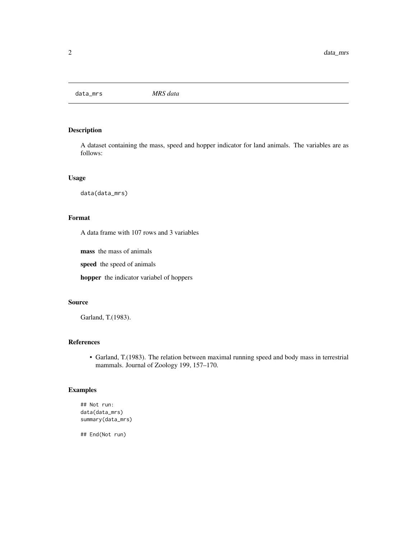<span id="page-1-0"></span>data\_mrs *MRS data*

#### Description

A dataset containing the mass, speed and hopper indicator for land animals. The variables are as follows:

#### Usage

data(data\_mrs)

#### Format

A data frame with 107 rows and 3 variables

mass the mass of animals

speed the speed of animals

hopper the indicator variabel of hoppers

#### Source

Garland, T.(1983).

#### References

• Garland, T.(1983). The relation between maximal running speed and body mass in terrestrial mammals. Journal of Zoology 199, 157–170.

#### Examples

```
## Not run:
data(data_mrs)
summary(data_mrs)
```
## End(Not run)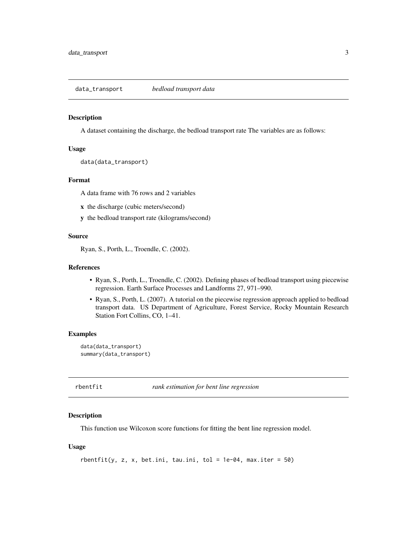<span id="page-2-0"></span>data\_transport *bedload transport data*

#### Description

A dataset containing the discharge, the bedload transport rate The variables are as follows:

#### Usage

data(data\_transport)

#### Format

A data frame with 76 rows and 2 variables

- x the discharge (cubic meters/second)
- y the bedload transport rate (kilograms/second)

#### Source

Ryan, S., Porth, L., Troendle, C. (2002).

#### References

- Ryan, S., Porth, L., Troendle, C. (2002). Defining phases of bedload transport using piecewise regression. Earth Surface Processes and Landforms 27, 971–990.
- Ryan, S., Porth, L. (2007). A tutorial on the piecewise regression approach applied to bedload transport data. US Department of Agriculture, Forest Service, Rocky Mountain Research Station Fort Collins, CO, 1–41.

#### Examples

data(data\_transport) summary(data\_transport)

rbentfit *rank estimation for bent line regression*

#### Description

This function use Wilcoxon score functions for fitting the bent line regression model.

#### Usage

```
r \cdot \text{bentfit}(y, z, x, \text{beta.ini}, \text{tau.ini}, \text{tol} = 1e-04, \text{max.iter} = 50)
```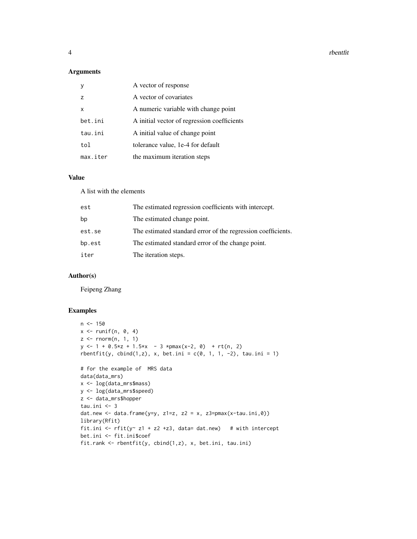4 rbentfit and the state of the state of the state of the state of the state of the state of the state of the state of the state of the state of the state of the state of the state of the state of the state of the state of

#### Arguments

|                | A vector of response                        |
|----------------|---------------------------------------------|
| $\overline{z}$ | A vector of covariates                      |
| x              | A numeric variable with change point        |
| bet.ini        | A initial vector of regression coefficients |
| tau.ini        | A initial value of change point             |
| tol            | tolerance value, 1e-4 for default           |
| max.iter       | the maximum iteration steps                 |

#### Value

A list with the elements

| est    | The estimated regression coefficients with intercept.        |
|--------|--------------------------------------------------------------|
| bp     | The estimated change point.                                  |
| est.se | The estimated standard error of the regression coefficients. |
| bp.est | The estimated standard error of the change point.            |
| iter   | The iteration steps.                                         |

#### Author(s)

Feipeng Zhang

#### Examples

```
n < -150x \leftarrow runif(n, 0, 4)z \leq rnorm(n, 1, 1)y \le -1 + 0.5*z + 1.5*x - 3 *pmax(x-2, 0) + rt(n, 2)r \text{bentfit}(y, \text{cbind}(1, z), x, \text{ bet.ini} = c(0, 1, 1, -2), \text{ tau.ini} = 1)# for the example of MRS data
data(data_mrs)
x <- log(data_mrs$mass)
y <- log(data_mrs$speed)
z <- data_mrs$hopper
tau.ini <- 3
dat.new <- data.frame(y=y, z1=z, z2 = x, z3=pmax(x-tau.ini,0))
library(Rfit)
fit.ini <- rfit(y \sim z1 + z2 + z3, data = dat.new) # with intercept
bet.ini <- fit.ini$coef
fit.rank <- rbentfit(y, cbind(1,z), x, bet.ini, tau.ini)
```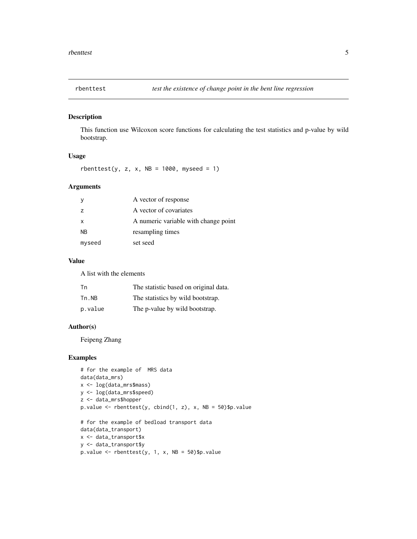<span id="page-4-0"></span>

#### Description

This function use Wilcoxon score functions for calculating the test statistics and p-value by wild bootstrap.

#### Usage

rbenttest(y, z, x,  $NB = 1000$ , myseed = 1)

#### Arguments

|                | A vector of response                 |
|----------------|--------------------------------------|
| $\overline{z}$ | A vector of covariates               |
| x              | A numeric variable with change point |
| N <sub>B</sub> | resampling times                     |
| myseed         | set seed                             |
|                |                                      |

#### Value

A list with the elements

| Tn      | The statistic based on original data. |
|---------|---------------------------------------|
| Tn.NB   | The statistics by wild bootstrap.     |
| p.value | The p-value by wild bootstrap.        |

#### Author(s)

Feipeng Zhang

#### Examples

```
# for the example of MRS data
data(data_mrs)
x <- log(data_mrs$mass)
y <- log(data_mrs$speed)
z <- data_mrs$hopper
p.value <- rbenttest(y, cbind(1, z), x, NB = 50)$p.value
# for the example of bedload transport data
data(data_transport)
x <- data_transport$x
y <- data_transport$y
p.value \leq rbenttest(y, 1, x, NB = 50)$p.value
```